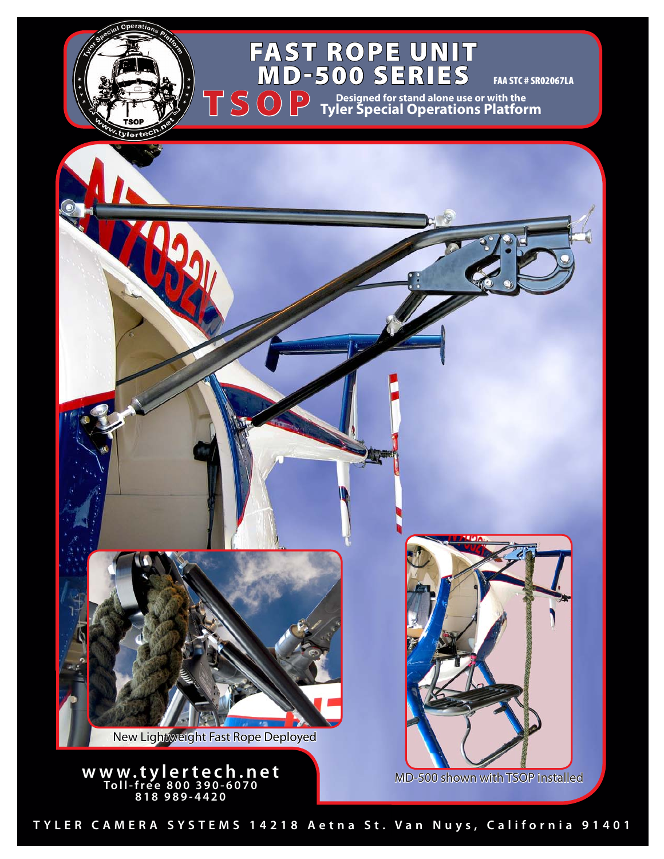## Fast Rope Unit **MD-500 SERIE**

 $\overline{D}$ 

TSOP

FAA STC # SR02067LA

**Designed for stand alone use or with the Tyler Special Operations Platform**



**TYLER CAMERA SYSTEMS 14218 Aetna St. Van Nuys, California 91401**